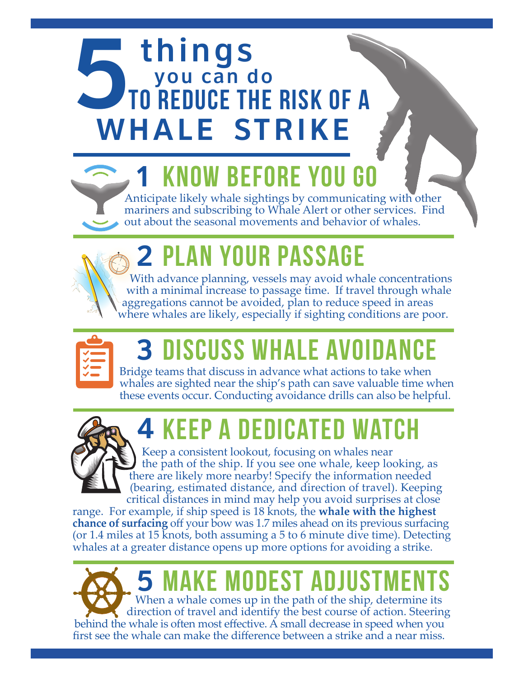# TO REDUCE THE to reduce the risk OF A WHALE STRIKE

### KNOW BEFORE YOU

Anticipate likely whale sightings by communicating with other mariners and subscribing to Whale Alert or other services. Find out about the seasonal movements and behavior of whales.

## 2 plan your passage

With advance planning, vessels may avoid whale concentrations with a minimal increase to passage time. If travel through whale aggregations cannot be avoided, plan to reduce speed in areas where whales are likely, especially if sighting conditions are poor.



### **3 discuss whale avoida**

Bridge teams that discuss in advance what actions to take when whales are sighted near the ship's path can save valuable time when these events occur. Conducting avoidance drills can also be helpful.



## 4 KEEP A DEDICATED WA

Keep a consistent lookout, focusing on whales near the path of the ship. If you see one whale, keep looking, as there are likely more nearby! Specify the information needed (bearing, estimated distance, and direction of travel). Keeping critical distances in mind may help you avoid surprises at close

range. For example, if ship speed is 18 knots, the **whale with the highest chance of surfacing** off your bow was 1.7 miles ahead on its previous surfacing (or 1.4 miles at 15 knots, both assuming a 5 to 6 minute dive time). Detecting whales at a greater distance opens up more options for avoiding a strike.

When a whale comes up in the path of the ship, determine its direction of travel and identify the best course of action. Steering behind the whale is often most effective. A small decrease in speed when you first see the whale can make the difference between a strike and a near miss. KE MODEST ADJUST